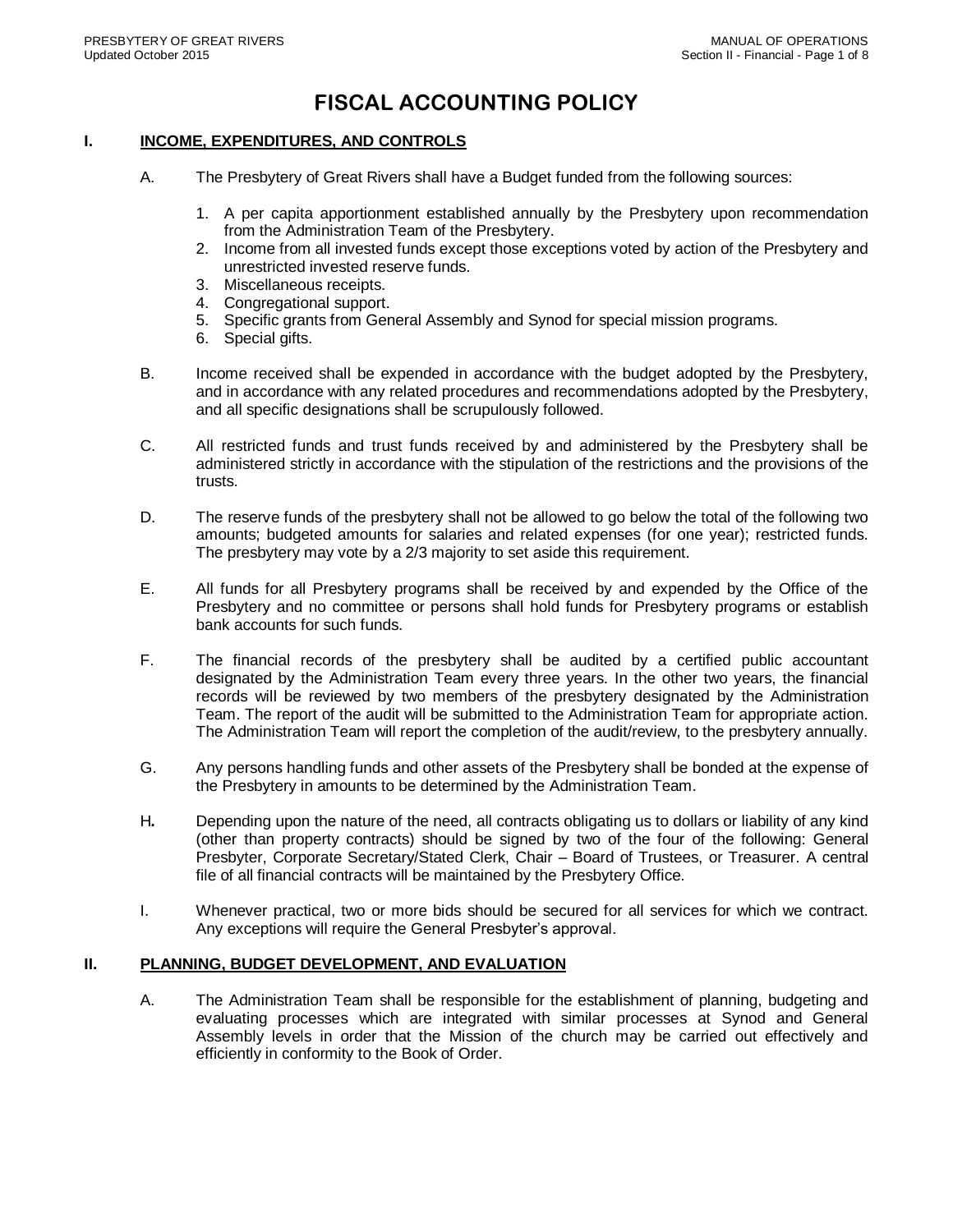# **FISCAL ACCOUNTING POLICY**

## **I. INCOME, EXPENDITURES, AND CONTROLS**

- A. The Presbytery of Great Rivers shall have a Budget funded from the following sources:
	- 1. A per capita apportionment established annually by the Presbytery upon recommendation from the Administration Team of the Presbytery.
	- 2. Income from all invested funds except those exceptions voted by action of the Presbytery and unrestricted invested reserve funds.
	- 3. Miscellaneous receipts.
	- 4. Congregational support.
	- 5. Specific grants from General Assembly and Synod for special mission programs.
	- 6. Special gifts.
- B. Income received shall be expended in accordance with the budget adopted by the Presbytery, and in accordance with any related procedures and recommendations adopted by the Presbytery, and all specific designations shall be scrupulously followed.
- C. All restricted funds and trust funds received by and administered by the Presbytery shall be administered strictly in accordance with the stipulation of the restrictions and the provisions of the trusts.
- D. The reserve funds of the presbytery shall not be allowed to go below the total of the following two amounts; budgeted amounts for salaries and related expenses (for one year); restricted funds. The presbytery may vote by a 2/3 majority to set aside this requirement.
- E. All funds for all Presbytery programs shall be received by and expended by the Office of the Presbytery and no committee or persons shall hold funds for Presbytery programs or establish bank accounts for such funds.
- F. The financial records of the presbytery shall be audited by a certified public accountant designated by the Administration Team every three years. In the other two years, the financial records will be reviewed by two members of the presbytery designated by the Administration Team. The report of the audit will be submitted to the Administration Team for appropriate action. The Administration Team will report the completion of the audit/review, to the presbytery annually.
- G. Any persons handling funds and other assets of the Presbytery shall be bonded at the expense of the Presbytery in amounts to be determined by the Administration Team.
- H*.* Depending upon the nature of the need, all contracts obligating us to dollars or liability of any kind (other than property contracts) should be signed by two of the four of the following: General Presbyter, Corporate Secretary/Stated Clerk, Chair – Board of Trustees, or Treasurer. A central file of all financial contracts will be maintained by the Presbytery Office.
- I. Whenever practical, two or more bids should be secured for all services for which we contract. Any exceptions will require the General Presbyter's approval.

#### **II. PLANNING, BUDGET DEVELOPMENT, AND EVALUATION**

A. The Administration Team shall be responsible for the establishment of planning, budgeting and evaluating processes which are integrated with similar processes at Synod and General Assembly levels in order that the Mission of the church may be carried out effectively and efficiently in conformity to the Book of Order.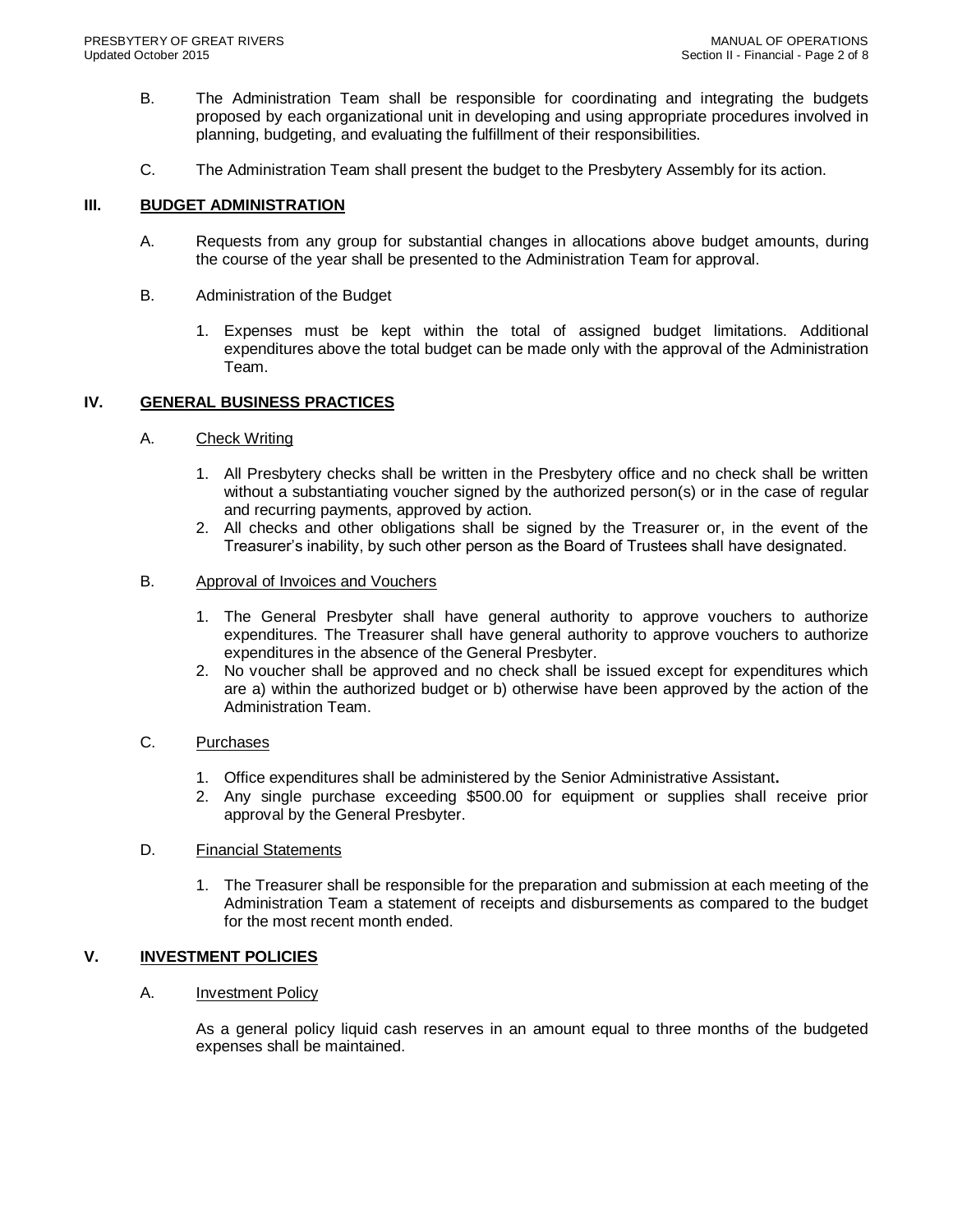- B. The Administration Team shall be responsible for coordinating and integrating the budgets proposed by each organizational unit in developing and using appropriate procedures involved in planning, budgeting, and evaluating the fulfillment of their responsibilities.
- C. The Administration Team shall present the budget to the Presbytery Assembly for its action.

## **III. BUDGET ADMINISTRATION**

- A. Requests from any group for substantial changes in allocations above budget amounts, during the course of the year shall be presented to the Administration Team for approval.
- B. Administration of the Budget
	- 1. Expenses must be kept within the total of assigned budget limitations. Additional expenditures above the total budget can be made only with the approval of the Administration Team.

## **IV. GENERAL BUSINESS PRACTICES**

## A. Check Writing

- 1. All Presbytery checks shall be written in the Presbytery office and no check shall be written without a substantiating voucher signed by the authorized person(s) or in the case of regular and recurring payments, approved by action.
- 2. All checks and other obligations shall be signed by the Treasurer or, in the event of the Treasurer's inability, by such other person as the Board of Trustees shall have designated.

## B. Approval of Invoices and Vouchers

- 1. The General Presbyter shall have general authority to approve vouchers to authorize expenditures. The Treasurer shall have general authority to approve vouchers to authorize expenditures in the absence of the General Presbyter.
- 2. No voucher shall be approved and no check shall be issued except for expenditures which are a) within the authorized budget or b) otherwise have been approved by the action of the Administration Team.

# C. Purchases

- 1. Office expenditures shall be administered by the Senior Administrative Assistant**.**
- 2. Any single purchase exceeding \$500.00 for equipment or supplies shall receive prior approval by the General Presbyter.

#### D. Financial Statements

1. The Treasurer shall be responsible for the preparation and submission at each meeting of the Administration Team a statement of receipts and disbursements as compared to the budget for the most recent month ended.

# **V. INVESTMENT POLICIES**

A. Investment Policy

As a general policy liquid cash reserves in an amount equal to three months of the budgeted expenses shall be maintained.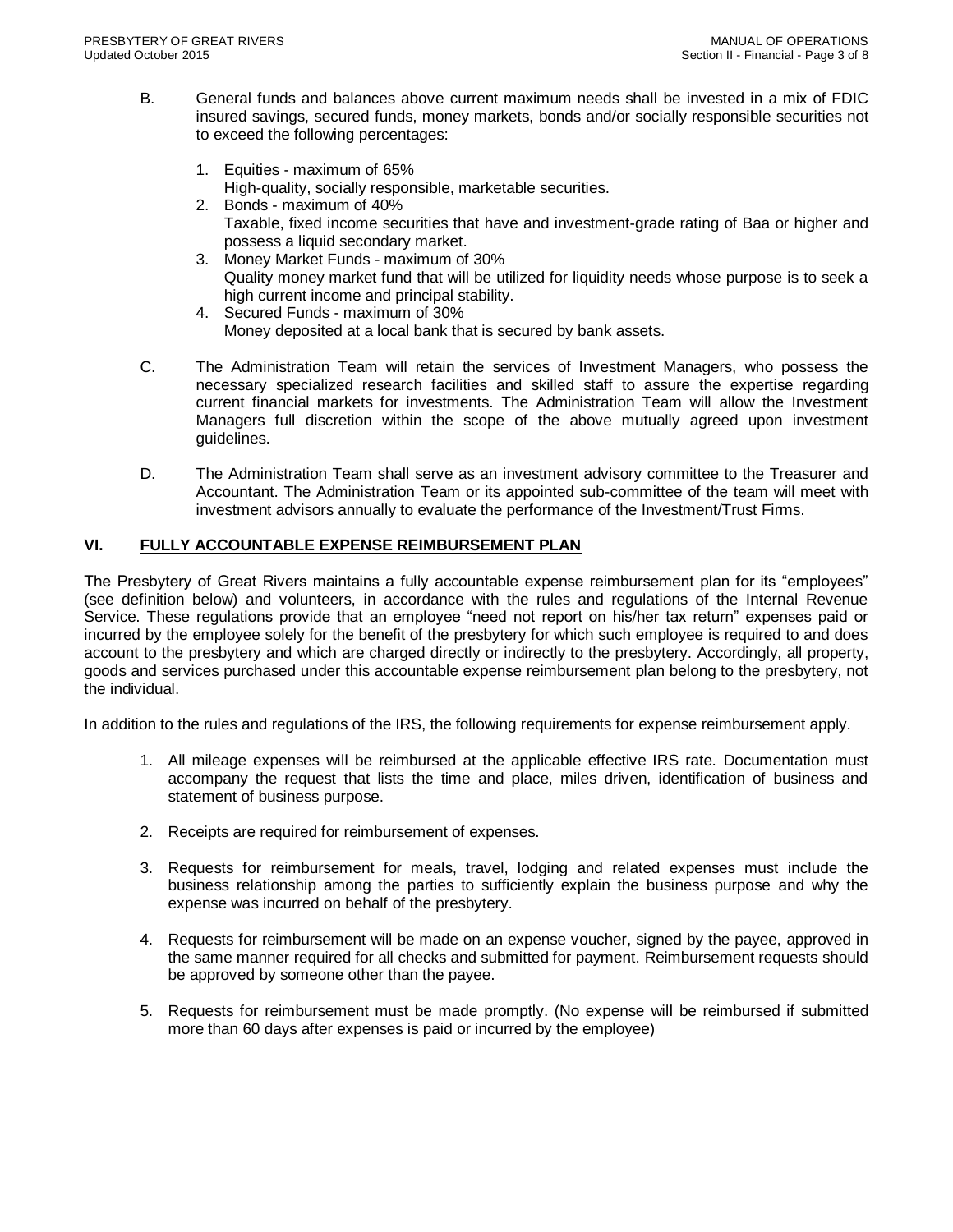- B. General funds and balances above current maximum needs shall be invested in a mix of FDIC insured savings, secured funds, money markets, bonds and/or socially responsible securities not to exceed the following percentages:
	- 1. Equities maximum of 65% High-quality, socially responsible, marketable securities.
	- 2. Bonds maximum of 40% Taxable, fixed income securities that have and investment-grade rating of Baa or higher and possess a liquid secondary market.
	- 3. Money Market Funds maximum of 30% Quality money market fund that will be utilized for liquidity needs whose purpose is to seek a high current income and principal stability.
	- 4. Secured Funds maximum of 30% Money deposited at a local bank that is secured by bank assets.
- C. The Administration Team will retain the services of Investment Managers, who possess the necessary specialized research facilities and skilled staff to assure the expertise regarding current financial markets for investments. The Administration Team will allow the Investment Managers full discretion within the scope of the above mutually agreed upon investment guidelines.
- D. The Administration Team shall serve as an investment advisory committee to the Treasurer and Accountant. The Administration Team or its appointed sub-committee of the team will meet with investment advisors annually to evaluate the performance of the Investment/Trust Firms.

# **VI. FULLY ACCOUNTABLE EXPENSE REIMBURSEMENT PLAN**

The Presbytery of Great Rivers maintains a fully accountable expense reimbursement plan for its "employees" (see definition below) and volunteers, in accordance with the rules and regulations of the Internal Revenue Service. These regulations provide that an employee "need not report on his/her tax return" expenses paid or incurred by the employee solely for the benefit of the presbytery for which such employee is required to and does account to the presbytery and which are charged directly or indirectly to the presbytery. Accordingly, all property, goods and services purchased under this accountable expense reimbursement plan belong to the presbytery, not the individual.

In addition to the rules and regulations of the IRS, the following requirements for expense reimbursement apply.

- 1. All mileage expenses will be reimbursed at the applicable effective IRS rate. Documentation must accompany the request that lists the time and place, miles driven, identification of business and statement of business purpose.
- 2. Receipts are required for reimbursement of expenses.
- 3. Requests for reimbursement for meals, travel, lodging and related expenses must include the business relationship among the parties to sufficiently explain the business purpose and why the expense was incurred on behalf of the presbytery.
- 4. Requests for reimbursement will be made on an expense voucher, signed by the payee, approved in the same manner required for all checks and submitted for payment. Reimbursement requests should be approved by someone other than the payee.
- 5. Requests for reimbursement must be made promptly. (No expense will be reimbursed if submitted more than 60 days after expenses is paid or incurred by the employee)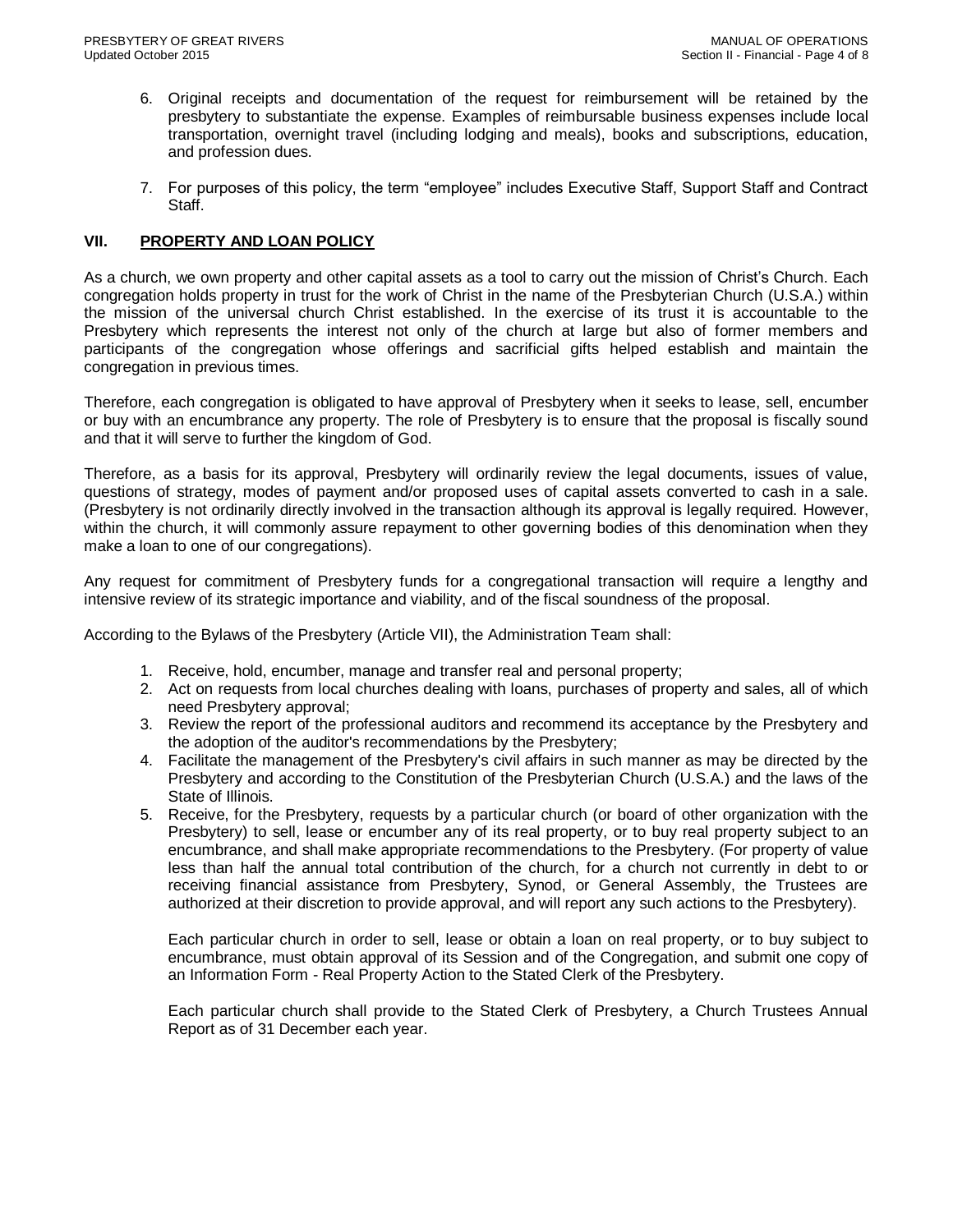- 6. Original receipts and documentation of the request for reimbursement will be retained by the presbytery to substantiate the expense. Examples of reimbursable business expenses include local transportation, overnight travel (including lodging and meals), books and subscriptions, education, and profession dues.
- 7. For purposes of this policy, the term "employee" includes Executive Staff, Support Staff and Contract Staff.

## **VII. PROPERTY AND LOAN POLICY**

As a church, we own property and other capital assets as a tool to carry out the mission of Christ's Church. Each congregation holds property in trust for the work of Christ in the name of the Presbyterian Church (U.S.A.) within the mission of the universal church Christ established. In the exercise of its trust it is accountable to the Presbytery which represents the interest not only of the church at large but also of former members and participants of the congregation whose offerings and sacrificial gifts helped establish and maintain the congregation in previous times.

Therefore, each congregation is obligated to have approval of Presbytery when it seeks to lease, sell, encumber or buy with an encumbrance any property. The role of Presbytery is to ensure that the proposal is fiscally sound and that it will serve to further the kingdom of God.

Therefore, as a basis for its approval, Presbytery will ordinarily review the legal documents, issues of value, questions of strategy, modes of payment and/or proposed uses of capital assets converted to cash in a sale. (Presbytery is not ordinarily directly involved in the transaction although its approval is legally required. However, within the church, it will commonly assure repayment to other governing bodies of this denomination when they make a loan to one of our congregations).

Any request for commitment of Presbytery funds for a congregational transaction will require a lengthy and intensive review of its strategic importance and viability, and of the fiscal soundness of the proposal.

According to the Bylaws of the Presbytery (Article VII), the Administration Team shall:

- 1. Receive, hold, encumber, manage and transfer real and personal property;
- 2. Act on requests from local churches dealing with loans, purchases of property and sales, all of which need Presbytery approval;
- 3. Review the report of the professional auditors and recommend its acceptance by the Presbytery and the adoption of the auditor's recommendations by the Presbytery;
- 4. Facilitate the management of the Presbytery's civil affairs in such manner as may be directed by the Presbytery and according to the Constitution of the Presbyterian Church (U.S.A.) and the laws of the State of Illinois.
- 5. Receive, for the Presbytery, requests by a particular church (or board of other organization with the Presbytery) to sell, lease or encumber any of its real property, or to buy real property subject to an encumbrance, and shall make appropriate recommendations to the Presbytery. (For property of value less than half the annual total contribution of the church, for a church not currently in debt to or receiving financial assistance from Presbytery, Synod, or General Assembly, the Trustees are authorized at their discretion to provide approval, and will report any such actions to the Presbytery).

Each particular church in order to sell, lease or obtain a loan on real property, or to buy subject to encumbrance, must obtain approval of its Session and of the Congregation, and submit one copy of an Information Form - Real Property Action to the Stated Clerk of the Presbytery.

Each particular church shall provide to the Stated Clerk of Presbytery, a Church Trustees Annual Report as of 31 December each year.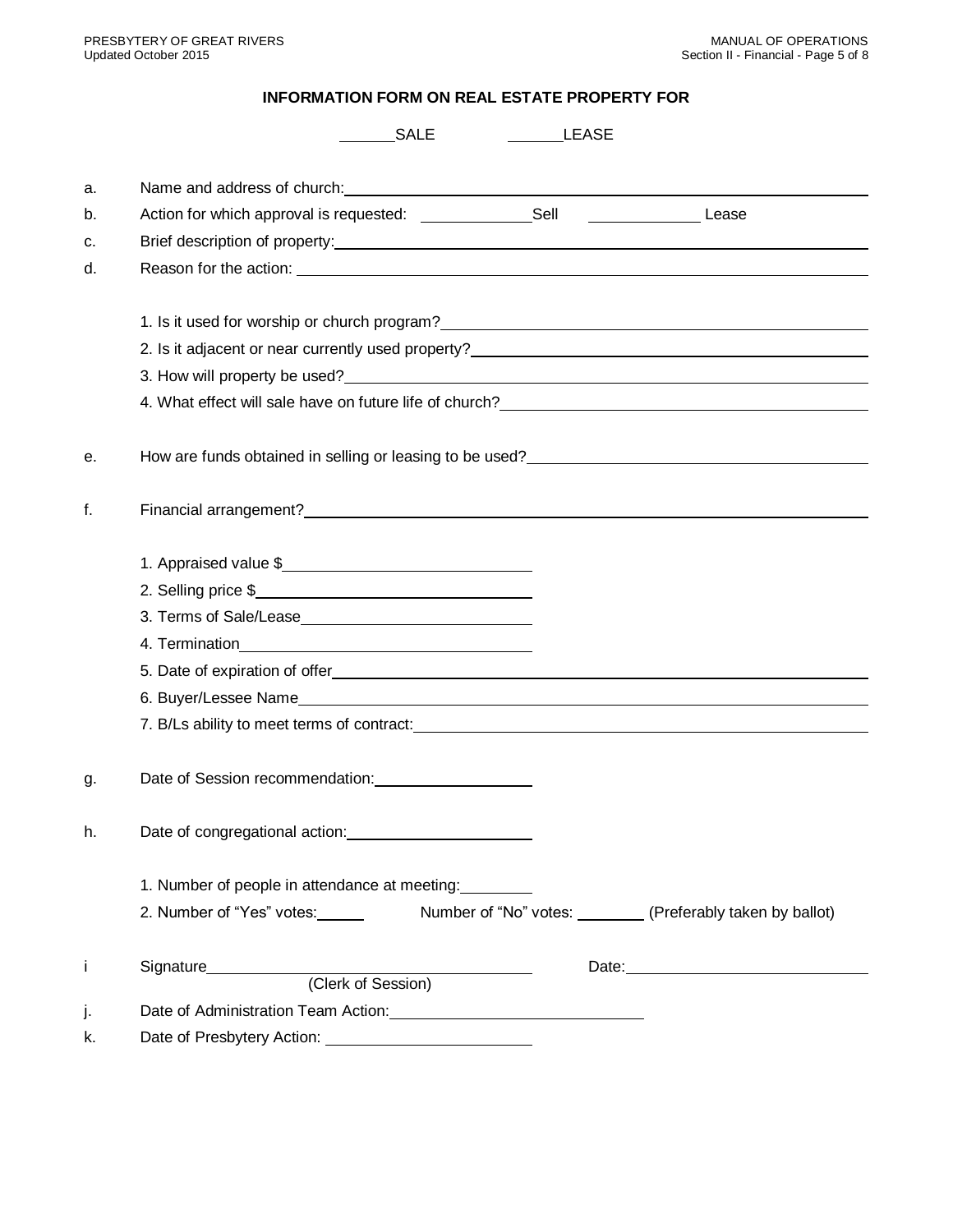# **INFORMATION FORM ON REAL ESTATE PROPERTY FOR**

|    | SALE<br><b>LEASE</b>                                                                                                                                                                                                           |
|----|--------------------------------------------------------------------------------------------------------------------------------------------------------------------------------------------------------------------------------|
| a. |                                                                                                                                                                                                                                |
| b. | Action for which approval is requested: Sell Sell Sell Lease                                                                                                                                                                   |
| c. |                                                                                                                                                                                                                                |
| d. |                                                                                                                                                                                                                                |
|    |                                                                                                                                                                                                                                |
|    |                                                                                                                                                                                                                                |
|    | 2. Is it adjacent or near currently used property?<br>2. Is it adjacent or near currently used property?                                                                                                                       |
|    |                                                                                                                                                                                                                                |
|    |                                                                                                                                                                                                                                |
| е. |                                                                                                                                                                                                                                |
|    |                                                                                                                                                                                                                                |
| f. |                                                                                                                                                                                                                                |
|    |                                                                                                                                                                                                                                |
|    | 1. Appraised value \$                                                                                                                                                                                                          |
|    | 2. Selling price \$                                                                                                                                                                                                            |
|    |                                                                                                                                                                                                                                |
|    |                                                                                                                                                                                                                                |
|    |                                                                                                                                                                                                                                |
|    |                                                                                                                                                                                                                                |
|    | 7. B/Ls ability to meet terms of contract: entries and the set of the set of the set of the set of the set of the set of the set of the set of the set of the set of the set of the set of the set of the set of the set of th |
| g. |                                                                                                                                                                                                                                |
| h. |                                                                                                                                                                                                                                |
|    | 1. Number of people in attendance at meeting:                                                                                                                                                                                  |
|    | 2. Number of "Yes" votes: Number of "No" votes: (Preferably taken by ballot)                                                                                                                                                   |
|    | Signature<br>(Clerk of Session)                                                                                                                                                                                                |
|    |                                                                                                                                                                                                                                |
|    | Date of Administration Team Action: Nation: Nation: National Administration Team Action:                                                                                                                                       |
| k. | Date of Presbytery Action:                                                                                                                                                                                                     |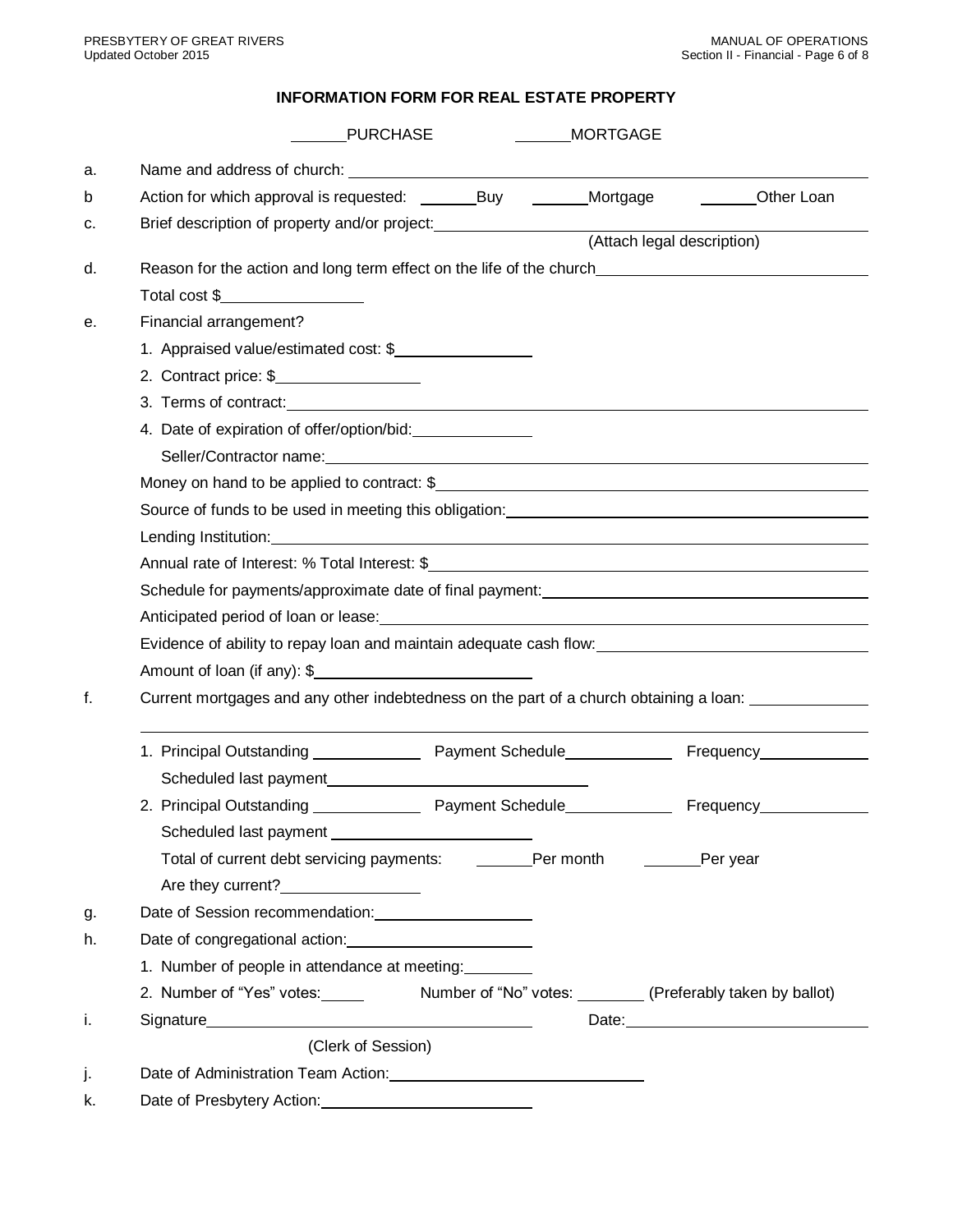# **INFORMATION FORM FOR REAL ESTATE PROPERTY**

|    | <b>PURCHASE</b>                                                                                                                                                                                                                      |  | <b>MORTGAGE</b> |                            |  |  |  |
|----|--------------------------------------------------------------------------------------------------------------------------------------------------------------------------------------------------------------------------------------|--|-----------------|----------------------------|--|--|--|
| a. |                                                                                                                                                                                                                                      |  |                 |                            |  |  |  |
| b  |                                                                                                                                                                                                                                      |  | Mortgage        | Other Loan                 |  |  |  |
| c. | Brief description of property and/or project: <b>with the set of the set of the set of the set of the set of the set of the set of the set of the set of the set of the set of the set of the set of the set of the set of the s</b> |  |                 |                            |  |  |  |
|    |                                                                                                                                                                                                                                      |  |                 | (Attach legal description) |  |  |  |
| d. | Reason for the action and long term effect on the life of the church________________________________                                                                                                                                 |  |                 |                            |  |  |  |
|    | Total cost \$                                                                                                                                                                                                                        |  |                 |                            |  |  |  |
| е. | Financial arrangement?                                                                                                                                                                                                               |  |                 |                            |  |  |  |
|    | 1. Appraised value/estimated cost: \$                                                                                                                                                                                                |  |                 |                            |  |  |  |
|    | 2. Contract price: \$                                                                                                                                                                                                                |  |                 |                            |  |  |  |
|    | 3. Terms of contract: <u>example and contract</u> and contract of the series of contract in the series of the series of the series of the series of the series of the series of the series of the series of the series of the serie  |  |                 |                            |  |  |  |
|    |                                                                                                                                                                                                                                      |  |                 |                            |  |  |  |
|    |                                                                                                                                                                                                                                      |  |                 |                            |  |  |  |
|    |                                                                                                                                                                                                                                      |  |                 |                            |  |  |  |
|    | Source of funds to be used in meeting this obligation: example and the state of funds to be used in meeting this obligation:                                                                                                         |  |                 |                            |  |  |  |
|    |                                                                                                                                                                                                                                      |  |                 |                            |  |  |  |
|    |                                                                                                                                                                                                                                      |  |                 |                            |  |  |  |
|    | Schedule for payments/approximate date of final payment: ________________________                                                                                                                                                    |  |                 |                            |  |  |  |
|    |                                                                                                                                                                                                                                      |  |                 |                            |  |  |  |
|    | Evidence of ability to repay loan and maintain adequate cash flow: ________________________________                                                                                                                                  |  |                 |                            |  |  |  |
|    | Amount of loan (if any): \$                                                                                                                                                                                                          |  |                 |                            |  |  |  |
| f. | Current mortgages and any other indebtedness on the part of a church obtaining a loan:                                                                                                                                               |  |                 |                            |  |  |  |
|    | 1. Principal Outstanding _________________ Payment Schedule________________ Frequency______________                                                                                                                                  |  |                 |                            |  |  |  |
|    |                                                                                                                                                                                                                                      |  |                 |                            |  |  |  |
|    | 2. Principal Outstanding __________________ Payment Schedule_____________________ Frequency______________                                                                                                                            |  |                 |                            |  |  |  |
|    |                                                                                                                                                                                                                                      |  |                 |                            |  |  |  |
|    | Total of current debt servicing payments: Per month                                                                                                                                                                                  |  |                 | <b>Example Per year</b>    |  |  |  |
|    | Are they current?                                                                                                                                                                                                                    |  |                 |                            |  |  |  |
| g. | Date of Session recommendation: ______________________                                                                                                                                                                               |  |                 |                            |  |  |  |
| h. | Date of congregational action: <u>contained and a set of congregational</u>                                                                                                                                                          |  |                 |                            |  |  |  |
|    | 1. Number of people in attendance at meeting:                                                                                                                                                                                        |  |                 |                            |  |  |  |
|    |                                                                                                                                                                                                                                      |  |                 |                            |  |  |  |
| i. |                                                                                                                                                                                                                                      |  |                 |                            |  |  |  |
|    | (Clerk of Session)                                                                                                                                                                                                                   |  |                 |                            |  |  |  |
|    |                                                                                                                                                                                                                                      |  |                 |                            |  |  |  |
| J. | Date of Administration Team Action: <u>contained a series of Administration Team Action:</u>                                                                                                                                         |  |                 |                            |  |  |  |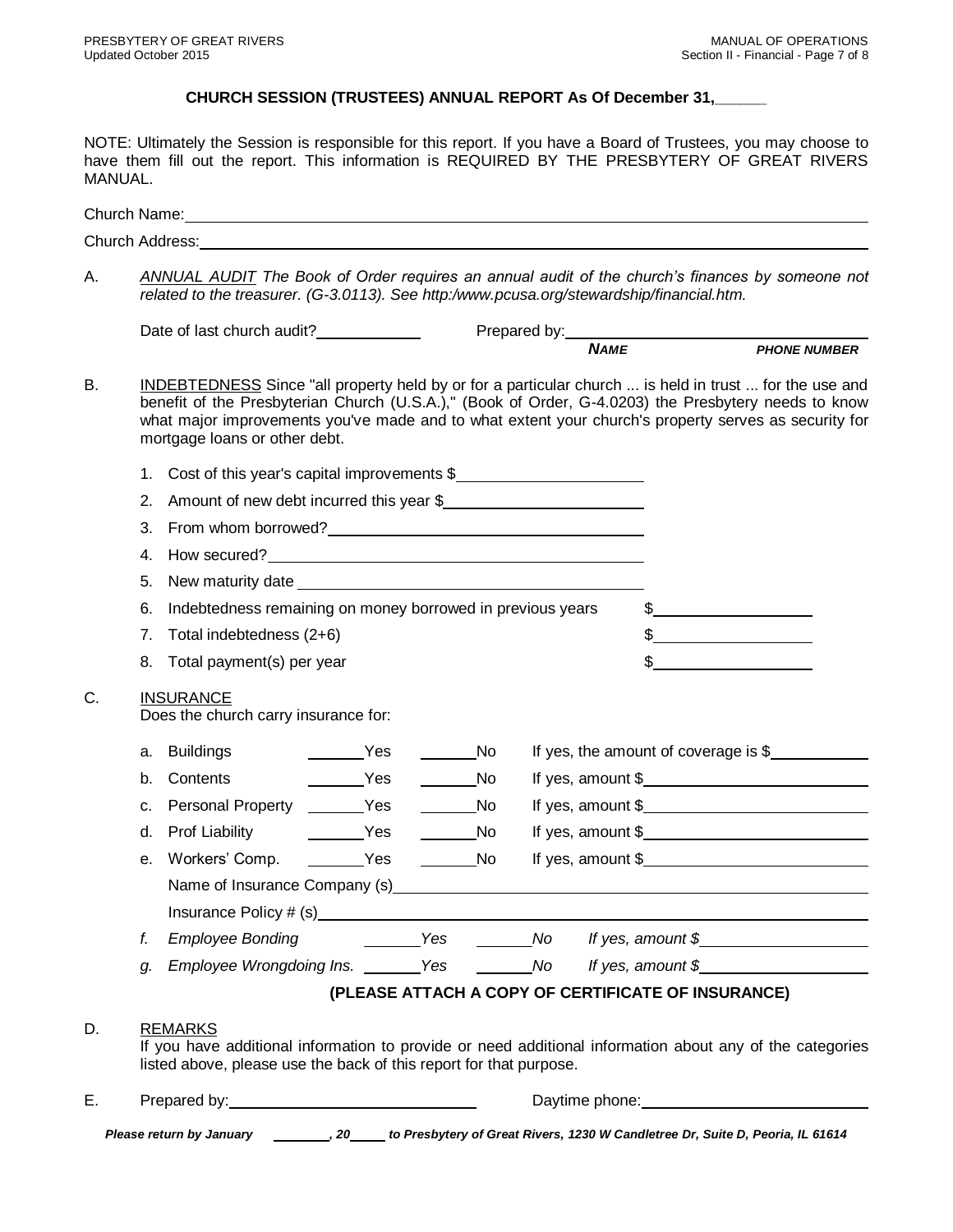# **CHURCH SESSION (TRUSTEES) ANNUAL REPORT As Of December 31,\_\_\_\_\_\_**

NOTE: Ultimately the Session is responsible for this report. If you have a Board of Trustees, you may choose to have them fill out the report. This information is REQUIRED BY THE PRESBYTERY OF GREAT RIVERS MANUAL.

| Church Address: Entertainment of the contract of the contract of the contract of the contract of the contract of the contract of the contract of the contract of the contract of the contract of the contract of the contract<br>related to the treasurer. (G-3.0113). See http:/www.pcusa.org/stewardship/financial.htm.<br>Prepared by: NAME<br>NAME<br>NAME<br>NAME<br>INDEBTEDNESS Since "all property held by or for a particular church  is held in trust  for the use and<br>benefit of the Presbyterian Church (U.S.A.)," (Book of Order, G-4.0203) the Presbytery needs to know<br>what major improvements you've made and to what extent your church's property serves as security for<br>mortgage loans or other debt.<br>Cost of this year's capital improvements \$<br>1.<br>Amount of new debt incurred this year \$<br>2.<br>3.<br>4.<br>5.<br>Indebtedness remaining on money borrowed in previous years<br>6.<br>Total indebtedness (2+6)<br>$\frac{1}{2}$ $\frac{1}{2}$ $\frac{1}{2}$ $\frac{1}{2}$ $\frac{1}{2}$ $\frac{1}{2}$ $\frac{1}{2}$ $\frac{1}{2}$ $\frac{1}{2}$ $\frac{1}{2}$ $\frac{1}{2}$ $\frac{1}{2}$ $\frac{1}{2}$ $\frac{1}{2}$ $\frac{1}{2}$ $\frac{1}{2}$ $\frac{1}{2}$ $\frac{1}{2}$ $\frac{1}{2}$ $\frac{1}{2}$ $\frac{1}{2}$ $\frac{1}{2}$<br>7.<br>$\sim$<br>Total payment(s) per year<br>8.<br><b>INSURANCE</b><br>Does the church carry insurance for:<br>Yes<br>$\overline{\phantom{a}}$ No<br>If yes, the amount of coverage is $$$<br>Buildings<br>а.<br>Yes<br><b>Solution</b> No<br>Contents<br>b.<br>If yes, amount $\frac{1}{2}$ [100] $\frac{1}{2}$ [100] $\frac{1}{2}$ [100] $\frac{1}{2}$ [100] $\frac{1}{2}$ [100] $\frac{1}{2}$ [100] $\frac{1}{2}$ [100] $\frac{1}{2}$ [100] $\frac{1}{2}$ [100] $\frac{1}{2}$ [100] $\frac{1}{2}$ [100] $\frac{1}{2}$ [100] $\frac{1}{2}$ [100<br>Personal Property _______Yes<br><b>Solution</b> No<br>c.<br>If yes, amount $\frac{1}{2}$<br>Prof Liability <b>No. 1998</b> Yes<br>$\rule{1em}{0.15mm}$ No<br>d.<br>If yes, amount $\frac{1}{2}$<br>Workers' Comp. _________Yes<br><b>No.</b><br>е.<br>Name of Insurance Company (s)<br><b>Example 2</b> Yes No Movement Strategy Press, amount \$<br><b>Employee Bonding</b><br>f.<br>Employee Wrongdoing Ins. _______ Yes ________ No lf yes, amount \$_______________<br>g.<br>(PLEASE ATTACH A COPY OF CERTIFICATE OF INSURANCE)<br><b>REMARKS</b><br>listed above, please use the back of this report for that purpose.<br>Prepared by: Note and the set of the set of the set of the set of the set of the set of the set of the set of the set of the set of the set of the set of the set of the set of the set of the set of the set of the set of th<br>Daytime phone: <u>contained and all phone</u><br>Please return by January _________, 20_____ to Presbytery of Great Rivers, 1230 W Candletree Dr, Suite D, Peoria, IL 61614 |    |  | Church Name: <u>containing and a series of the series of the series of the series of the series of the series of the series of the series of the series of the series of the series of the series of the series of the series of</u> |  |  |  |  |  |  |  |  |
|----------------------------------------------------------------------------------------------------------------------------------------------------------------------------------------------------------------------------------------------------------------------------------------------------------------------------------------------------------------------------------------------------------------------------------------------------------------------------------------------------------------------------------------------------------------------------------------------------------------------------------------------------------------------------------------------------------------------------------------------------------------------------------------------------------------------------------------------------------------------------------------------------------------------------------------------------------------------------------------------------------------------------------------------------------------------------------------------------------------------------------------------------------------------------------------------------------------------------------------------------------------------------------------------------------------------------------------------------------------------------------------------------------------------------------------------------------------------------------------------------------------------------------------------------------------------------------------------------------------------------------------------------------------------------------------------------------------------------------------------------------------------------------------------------------------------------------------------------------------------------------------------------------------------------------------------------------------------------------------------------------------------------------------------------------------------------------------------------------------------------------------------------------------------------------------------------------------------------------------------------------------------------------------------------------------------------------------------------------------------------------------------------------------------------------------------------------------------------------------------------------------------------------------------------------------------------------------------------------------------------------------------------------------------------------------------------------------------------------------------------------------------------------------------------------------------------------------------------------------------------------------|----|--|--------------------------------------------------------------------------------------------------------------------------------------------------------------------------------------------------------------------------------------|--|--|--|--|--|--|--|--|
| <b>ANNUAL AUDIT</b> The Book of Order requires an annual audit of the church's finances by someone not<br>If yes, amount $\frac{1}{2}$ and $\frac{1}{2}$ and $\frac{1}{2}$ and $\frac{1}{2}$ and $\frac{1}{2}$ and $\frac{1}{2}$ and $\frac{1}{2}$ and $\frac{1}{2}$ and $\frac{1}{2}$ and $\frac{1}{2}$ and $\frac{1}{2}$ and $\frac{1}{2}$ and $\frac{1}{2}$ and $\frac{1}{2}$ and $\frac{1}{2}$<br>If you have additional information to provide or need additional information about any of the categories                                                                                                                                                                                                                                                                                                                                                                                                                                                                                                                                                                                                                                                                                                                                                                                                                                                                                                                                                                                                                                                                                                                                                                                                                                                                                                                                                                                                                                                                                                                                                                                                                                                                                                                                                                                                                                                                                                                                                                                                                                                                                                                                                                                                                                                                                                                                                                         |    |  |                                                                                                                                                                                                                                      |  |  |  |  |  |  |  |  |
|                                                                                                                                                                                                                                                                                                                                                                                                                                                                                                                                                                                                                                                                                                                                                                                                                                                                                                                                                                                                                                                                                                                                                                                                                                                                                                                                                                                                                                                                                                                                                                                                                                                                                                                                                                                                                                                                                                                                                                                                                                                                                                                                                                                                                                                                                                                                                                                                                                                                                                                                                                                                                                                                                                                                                                                                                                                                                        | А. |  |                                                                                                                                                                                                                                      |  |  |  |  |  |  |  |  |
|                                                                                                                                                                                                                                                                                                                                                                                                                                                                                                                                                                                                                                                                                                                                                                                                                                                                                                                                                                                                                                                                                                                                                                                                                                                                                                                                                                                                                                                                                                                                                                                                                                                                                                                                                                                                                                                                                                                                                                                                                                                                                                                                                                                                                                                                                                                                                                                                                                                                                                                                                                                                                                                                                                                                                                                                                                                                                        |    |  |                                                                                                                                                                                                                                      |  |  |  |  |  |  |  |  |
|                                                                                                                                                                                                                                                                                                                                                                                                                                                                                                                                                                                                                                                                                                                                                                                                                                                                                                                                                                                                                                                                                                                                                                                                                                                                                                                                                                                                                                                                                                                                                                                                                                                                                                                                                                                                                                                                                                                                                                                                                                                                                                                                                                                                                                                                                                                                                                                                                                                                                                                                                                                                                                                                                                                                                                                                                                                                                        |    |  |                                                                                                                                                                                                                                      |  |  |  |  |  |  |  |  |
|                                                                                                                                                                                                                                                                                                                                                                                                                                                                                                                                                                                                                                                                                                                                                                                                                                                                                                                                                                                                                                                                                                                                                                                                                                                                                                                                                                                                                                                                                                                                                                                                                                                                                                                                                                                                                                                                                                                                                                                                                                                                                                                                                                                                                                                                                                                                                                                                                                                                                                                                                                                                                                                                                                                                                                                                                                                                                        | В. |  |                                                                                                                                                                                                                                      |  |  |  |  |  |  |  |  |
|                                                                                                                                                                                                                                                                                                                                                                                                                                                                                                                                                                                                                                                                                                                                                                                                                                                                                                                                                                                                                                                                                                                                                                                                                                                                                                                                                                                                                                                                                                                                                                                                                                                                                                                                                                                                                                                                                                                                                                                                                                                                                                                                                                                                                                                                                                                                                                                                                                                                                                                                                                                                                                                                                                                                                                                                                                                                                        |    |  |                                                                                                                                                                                                                                      |  |  |  |  |  |  |  |  |
|                                                                                                                                                                                                                                                                                                                                                                                                                                                                                                                                                                                                                                                                                                                                                                                                                                                                                                                                                                                                                                                                                                                                                                                                                                                                                                                                                                                                                                                                                                                                                                                                                                                                                                                                                                                                                                                                                                                                                                                                                                                                                                                                                                                                                                                                                                                                                                                                                                                                                                                                                                                                                                                                                                                                                                                                                                                                                        |    |  |                                                                                                                                                                                                                                      |  |  |  |  |  |  |  |  |
|                                                                                                                                                                                                                                                                                                                                                                                                                                                                                                                                                                                                                                                                                                                                                                                                                                                                                                                                                                                                                                                                                                                                                                                                                                                                                                                                                                                                                                                                                                                                                                                                                                                                                                                                                                                                                                                                                                                                                                                                                                                                                                                                                                                                                                                                                                                                                                                                                                                                                                                                                                                                                                                                                                                                                                                                                                                                                        |    |  |                                                                                                                                                                                                                                      |  |  |  |  |  |  |  |  |
|                                                                                                                                                                                                                                                                                                                                                                                                                                                                                                                                                                                                                                                                                                                                                                                                                                                                                                                                                                                                                                                                                                                                                                                                                                                                                                                                                                                                                                                                                                                                                                                                                                                                                                                                                                                                                                                                                                                                                                                                                                                                                                                                                                                                                                                                                                                                                                                                                                                                                                                                                                                                                                                                                                                                                                                                                                                                                        |    |  |                                                                                                                                                                                                                                      |  |  |  |  |  |  |  |  |
|                                                                                                                                                                                                                                                                                                                                                                                                                                                                                                                                                                                                                                                                                                                                                                                                                                                                                                                                                                                                                                                                                                                                                                                                                                                                                                                                                                                                                                                                                                                                                                                                                                                                                                                                                                                                                                                                                                                                                                                                                                                                                                                                                                                                                                                                                                                                                                                                                                                                                                                                                                                                                                                                                                                                                                                                                                                                                        |    |  |                                                                                                                                                                                                                                      |  |  |  |  |  |  |  |  |
|                                                                                                                                                                                                                                                                                                                                                                                                                                                                                                                                                                                                                                                                                                                                                                                                                                                                                                                                                                                                                                                                                                                                                                                                                                                                                                                                                                                                                                                                                                                                                                                                                                                                                                                                                                                                                                                                                                                                                                                                                                                                                                                                                                                                                                                                                                                                                                                                                                                                                                                                                                                                                                                                                                                                                                                                                                                                                        |    |  |                                                                                                                                                                                                                                      |  |  |  |  |  |  |  |  |
|                                                                                                                                                                                                                                                                                                                                                                                                                                                                                                                                                                                                                                                                                                                                                                                                                                                                                                                                                                                                                                                                                                                                                                                                                                                                                                                                                                                                                                                                                                                                                                                                                                                                                                                                                                                                                                                                                                                                                                                                                                                                                                                                                                                                                                                                                                                                                                                                                                                                                                                                                                                                                                                                                                                                                                                                                                                                                        |    |  |                                                                                                                                                                                                                                      |  |  |  |  |  |  |  |  |
|                                                                                                                                                                                                                                                                                                                                                                                                                                                                                                                                                                                                                                                                                                                                                                                                                                                                                                                                                                                                                                                                                                                                                                                                                                                                                                                                                                                                                                                                                                                                                                                                                                                                                                                                                                                                                                                                                                                                                                                                                                                                                                                                                                                                                                                                                                                                                                                                                                                                                                                                                                                                                                                                                                                                                                                                                                                                                        |    |  |                                                                                                                                                                                                                                      |  |  |  |  |  |  |  |  |
|                                                                                                                                                                                                                                                                                                                                                                                                                                                                                                                                                                                                                                                                                                                                                                                                                                                                                                                                                                                                                                                                                                                                                                                                                                                                                                                                                                                                                                                                                                                                                                                                                                                                                                                                                                                                                                                                                                                                                                                                                                                                                                                                                                                                                                                                                                                                                                                                                                                                                                                                                                                                                                                                                                                                                                                                                                                                                        | C. |  |                                                                                                                                                                                                                                      |  |  |  |  |  |  |  |  |
|                                                                                                                                                                                                                                                                                                                                                                                                                                                                                                                                                                                                                                                                                                                                                                                                                                                                                                                                                                                                                                                                                                                                                                                                                                                                                                                                                                                                                                                                                                                                                                                                                                                                                                                                                                                                                                                                                                                                                                                                                                                                                                                                                                                                                                                                                                                                                                                                                                                                                                                                                                                                                                                                                                                                                                                                                                                                                        |    |  |                                                                                                                                                                                                                                      |  |  |  |  |  |  |  |  |
|                                                                                                                                                                                                                                                                                                                                                                                                                                                                                                                                                                                                                                                                                                                                                                                                                                                                                                                                                                                                                                                                                                                                                                                                                                                                                                                                                                                                                                                                                                                                                                                                                                                                                                                                                                                                                                                                                                                                                                                                                                                                                                                                                                                                                                                                                                                                                                                                                                                                                                                                                                                                                                                                                                                                                                                                                                                                                        |    |  |                                                                                                                                                                                                                                      |  |  |  |  |  |  |  |  |
|                                                                                                                                                                                                                                                                                                                                                                                                                                                                                                                                                                                                                                                                                                                                                                                                                                                                                                                                                                                                                                                                                                                                                                                                                                                                                                                                                                                                                                                                                                                                                                                                                                                                                                                                                                                                                                                                                                                                                                                                                                                                                                                                                                                                                                                                                                                                                                                                                                                                                                                                                                                                                                                                                                                                                                                                                                                                                        |    |  |                                                                                                                                                                                                                                      |  |  |  |  |  |  |  |  |
|                                                                                                                                                                                                                                                                                                                                                                                                                                                                                                                                                                                                                                                                                                                                                                                                                                                                                                                                                                                                                                                                                                                                                                                                                                                                                                                                                                                                                                                                                                                                                                                                                                                                                                                                                                                                                                                                                                                                                                                                                                                                                                                                                                                                                                                                                                                                                                                                                                                                                                                                                                                                                                                                                                                                                                                                                                                                                        |    |  |                                                                                                                                                                                                                                      |  |  |  |  |  |  |  |  |
|                                                                                                                                                                                                                                                                                                                                                                                                                                                                                                                                                                                                                                                                                                                                                                                                                                                                                                                                                                                                                                                                                                                                                                                                                                                                                                                                                                                                                                                                                                                                                                                                                                                                                                                                                                                                                                                                                                                                                                                                                                                                                                                                                                                                                                                                                                                                                                                                                                                                                                                                                                                                                                                                                                                                                                                                                                                                                        |    |  |                                                                                                                                                                                                                                      |  |  |  |  |  |  |  |  |
|                                                                                                                                                                                                                                                                                                                                                                                                                                                                                                                                                                                                                                                                                                                                                                                                                                                                                                                                                                                                                                                                                                                                                                                                                                                                                                                                                                                                                                                                                                                                                                                                                                                                                                                                                                                                                                                                                                                                                                                                                                                                                                                                                                                                                                                                                                                                                                                                                                                                                                                                                                                                                                                                                                                                                                                                                                                                                        |    |  |                                                                                                                                                                                                                                      |  |  |  |  |  |  |  |  |
|                                                                                                                                                                                                                                                                                                                                                                                                                                                                                                                                                                                                                                                                                                                                                                                                                                                                                                                                                                                                                                                                                                                                                                                                                                                                                                                                                                                                                                                                                                                                                                                                                                                                                                                                                                                                                                                                                                                                                                                                                                                                                                                                                                                                                                                                                                                                                                                                                                                                                                                                                                                                                                                                                                                                                                                                                                                                                        |    |  |                                                                                                                                                                                                                                      |  |  |  |  |  |  |  |  |
|                                                                                                                                                                                                                                                                                                                                                                                                                                                                                                                                                                                                                                                                                                                                                                                                                                                                                                                                                                                                                                                                                                                                                                                                                                                                                                                                                                                                                                                                                                                                                                                                                                                                                                                                                                                                                                                                                                                                                                                                                                                                                                                                                                                                                                                                                                                                                                                                                                                                                                                                                                                                                                                                                                                                                                                                                                                                                        |    |  |                                                                                                                                                                                                                                      |  |  |  |  |  |  |  |  |
|                                                                                                                                                                                                                                                                                                                                                                                                                                                                                                                                                                                                                                                                                                                                                                                                                                                                                                                                                                                                                                                                                                                                                                                                                                                                                                                                                                                                                                                                                                                                                                                                                                                                                                                                                                                                                                                                                                                                                                                                                                                                                                                                                                                                                                                                                                                                                                                                                                                                                                                                                                                                                                                                                                                                                                                                                                                                                        |    |  |                                                                                                                                                                                                                                      |  |  |  |  |  |  |  |  |
|                                                                                                                                                                                                                                                                                                                                                                                                                                                                                                                                                                                                                                                                                                                                                                                                                                                                                                                                                                                                                                                                                                                                                                                                                                                                                                                                                                                                                                                                                                                                                                                                                                                                                                                                                                                                                                                                                                                                                                                                                                                                                                                                                                                                                                                                                                                                                                                                                                                                                                                                                                                                                                                                                                                                                                                                                                                                                        |    |  |                                                                                                                                                                                                                                      |  |  |  |  |  |  |  |  |
|                                                                                                                                                                                                                                                                                                                                                                                                                                                                                                                                                                                                                                                                                                                                                                                                                                                                                                                                                                                                                                                                                                                                                                                                                                                                                                                                                                                                                                                                                                                                                                                                                                                                                                                                                                                                                                                                                                                                                                                                                                                                                                                                                                                                                                                                                                                                                                                                                                                                                                                                                                                                                                                                                                                                                                                                                                                                                        | D. |  |                                                                                                                                                                                                                                      |  |  |  |  |  |  |  |  |
|                                                                                                                                                                                                                                                                                                                                                                                                                                                                                                                                                                                                                                                                                                                                                                                                                                                                                                                                                                                                                                                                                                                                                                                                                                                                                                                                                                                                                                                                                                                                                                                                                                                                                                                                                                                                                                                                                                                                                                                                                                                                                                                                                                                                                                                                                                                                                                                                                                                                                                                                                                                                                                                                                                                                                                                                                                                                                        | Ε. |  |                                                                                                                                                                                                                                      |  |  |  |  |  |  |  |  |
|                                                                                                                                                                                                                                                                                                                                                                                                                                                                                                                                                                                                                                                                                                                                                                                                                                                                                                                                                                                                                                                                                                                                                                                                                                                                                                                                                                                                                                                                                                                                                                                                                                                                                                                                                                                                                                                                                                                                                                                                                                                                                                                                                                                                                                                                                                                                                                                                                                                                                                                                                                                                                                                                                                                                                                                                                                                                                        |    |  |                                                                                                                                                                                                                                      |  |  |  |  |  |  |  |  |